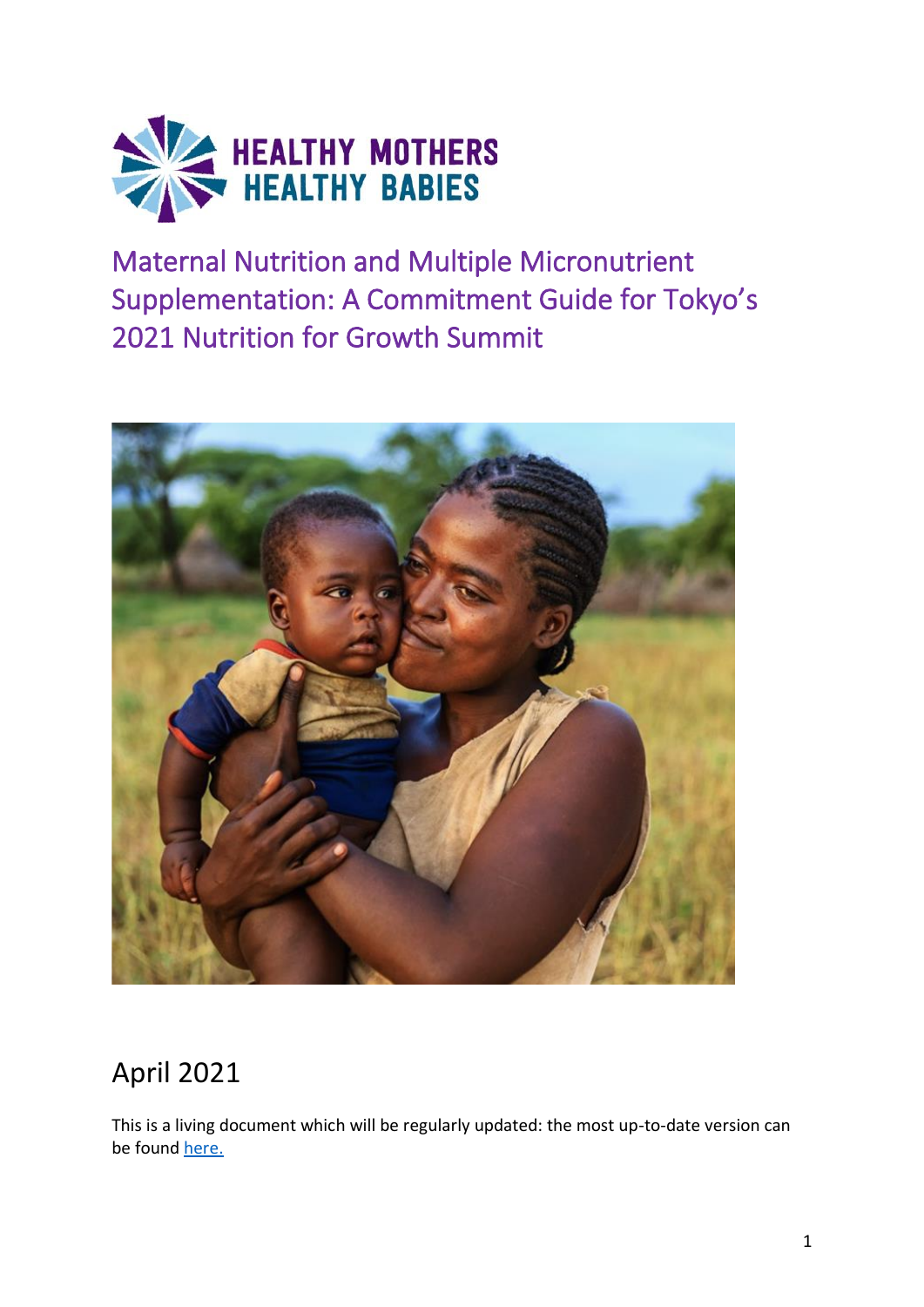

Maternal Nutrition and Multiple Micronutrient Supplementation: A Commitment Guide for Tokyo's 2021 Nutrition for Growth Summit



# April 2021

This is a living document which will be regularly updated: the most up-to-date version can be found [here.](https://hmhbconsortium.org/nn4g-commitment-guide/)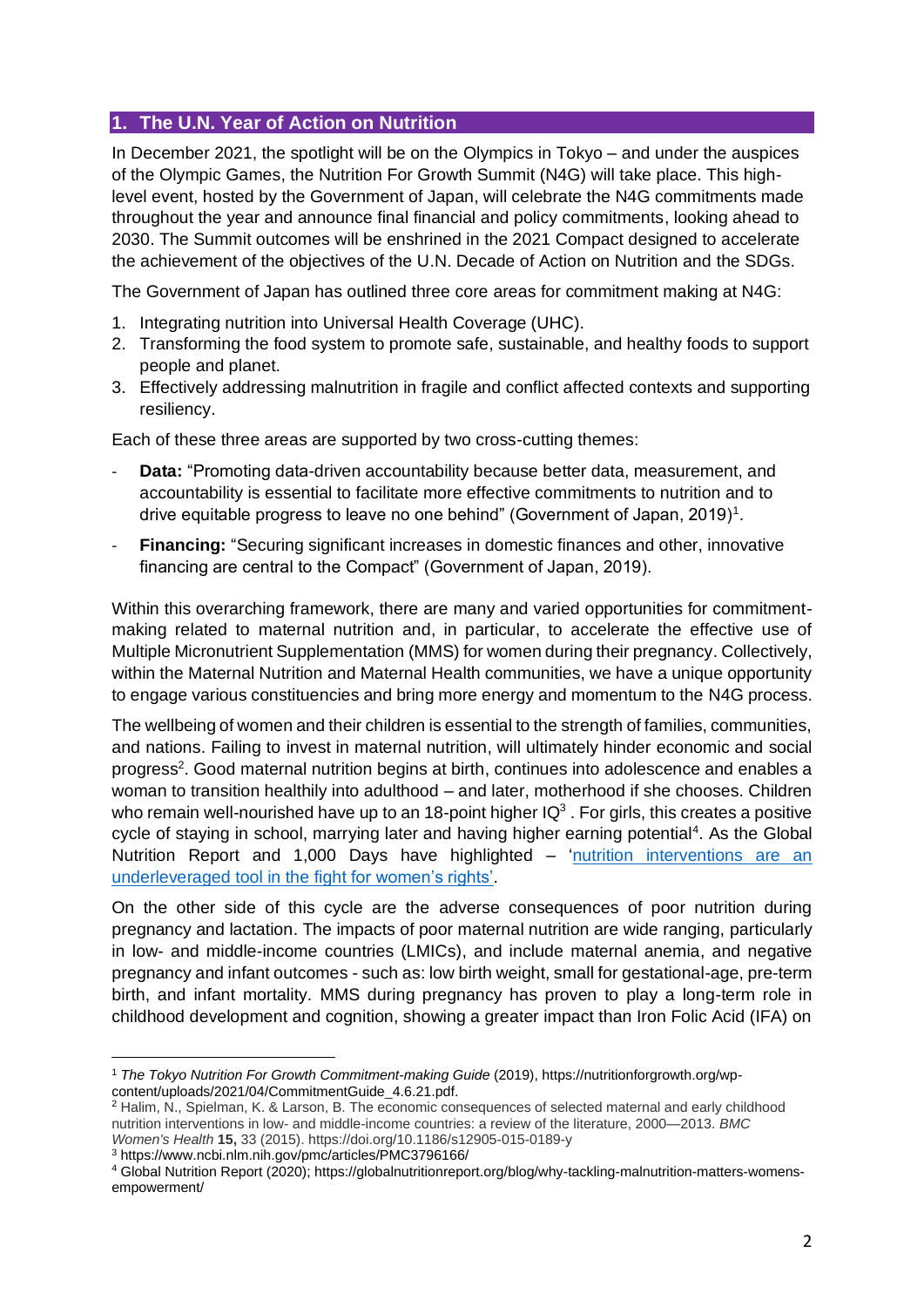#### **1. The U.N. Year of Action on Nutrition**

In December 2021, the spotlight will be on the Olympics in Tokyo – and under the auspices of the Olympic Games, the Nutrition For Growth Summit (N4G) will take place. This highlevel event, hosted by the Government of Japan, will celebrate the N4G commitments made throughout the year and announce final financial and policy commitments, looking ahead to 2030. The Summit outcomes will be enshrined in the 2021 Compact designed to accelerate the achievement of the objectives of the U.N. Decade of Action on Nutrition and the SDGs.

The Government of Japan has outlined three core areas for commitment making at N4G:

- 1. Integrating nutrition into Universal Health Coverage (UHC).
- 2. Transforming the food system to promote safe, sustainable, and healthy foods to support people and planet.
- 3. Effectively addressing malnutrition in fragile and conflict affected contexts and supporting resiliency.

Each of these three areas are supported by two cross-cutting themes:

- **Data:** "Promoting data-driven accountability because better data, measurement, and accountability is essential to facilitate more effective commitments to nutrition and to drive equitable progress to leave no one behind" (Government of Japan, 2019)<sup>1</sup>.
- **Financing:** "Securing significant increases in domestic finances and other, innovative financing are central to the Compact" (Government of Japan, 2019).

Within this overarching framework, there are many and varied opportunities for commitmentmaking related to maternal nutrition and, in particular, to accelerate the effective use of Multiple Micronutrient Supplementation (MMS) for women during their pregnancy. Collectively, within the Maternal Nutrition and Maternal Health communities, we have a unique opportunity to engage various constituencies and bring more energy and momentum to the N4G process.

The wellbeing of women and their children is essential to the strength of families, communities, and nations. Failing to invest in maternal nutrition, will ultimately hinder economic and social progress<sup>2</sup>. Good maternal nutrition begins at birth, continues into adolescence and enables a woman to transition healthily into adulthood – and later, motherhood if she chooses. Children who remain well-nourished have up to an 18-point higher  $IQ^3$ . For girls, this creates a positive cycle of staying in school, marrying later and having higher earning potential<sup>4</sup>. As the Global Nutrition Report and 1,000 Days have highlighted – 'nutrition interventions are an underleveraged [tool in the fight for women's rights'.](https://thousanddays.org/resource/nourishing-gender-equality/)

On the other side of this cycle are the adverse consequences of poor nutrition during pregnancy and lactation. The impacts of poor maternal nutrition are wide ranging, particularly in low- and middle-income countries (LMICs), and include maternal anemia, and negative pregnancy and infant outcomes - such as: low birth weight, small for gestational-age, pre-term birth, and infant mortality. MMS during pregnancy has proven to play a long-term role in childhood development and cognition, showing a greater impact than Iron Folic Acid (IFA) on

<sup>3</sup> https://www.ncbi.nlm.nih.gov/pmc/articles/PMC3796166/

<sup>1</sup> *The Tokyo Nutrition For Growth Commitment-making Guide* (2019), https://nutritionforgrowth.org/wpcontent/uploads/2021/04/CommitmentGuide\_4.6.21.pdf.

<sup>2</sup> Halim, N., Spielman, K. & Larson, B. The economic consequences of selected maternal and early childhood nutrition interventions in low- and middle-income countries: a review of the literature, 2000—2013. *BMC Women's Health* **15,** 33 (2015). https://doi.org/10.1186/s12905-015-0189-y

<sup>4</sup> Global Nutrition Report (2020); https://globalnutritionreport.org/blog/why-tackling-malnutrition-matters-womensempowerment/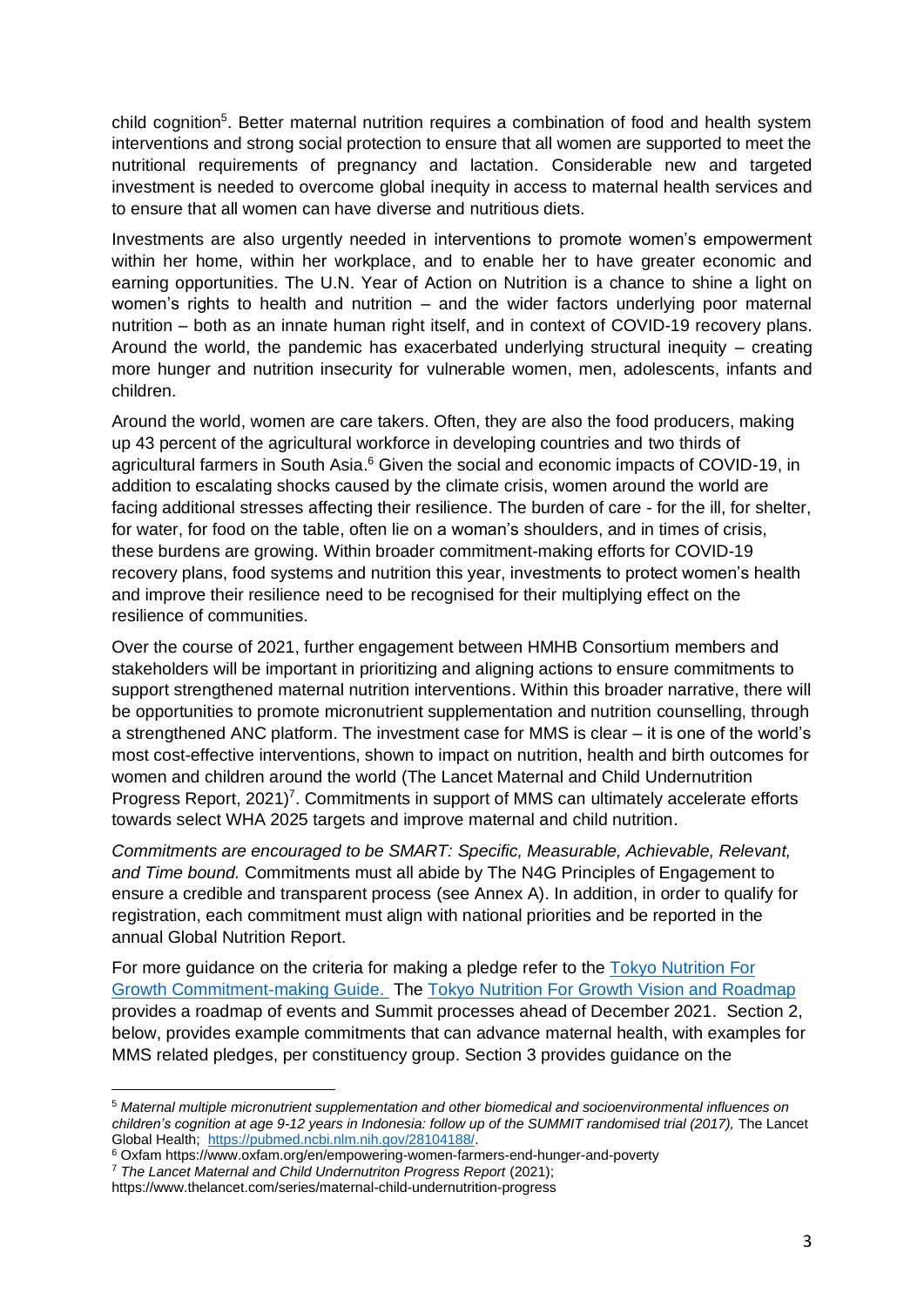child cognition<sup>5</sup>. Better maternal nutrition requires a combination of food and health system interventions and strong social protection to ensure that all women are supported to meet the nutritional requirements of pregnancy and lactation. Considerable new and targeted investment is needed to overcome global inequity in access to maternal health services and to ensure that all women can have diverse and nutritious diets.

Investments are also urgently needed in interventions to promote women's empowerment within her home, within her workplace, and to enable her to have greater economic and earning opportunities. The U.N. Year of Action on Nutrition is a chance to shine a light on women's rights to health and nutrition – and the wider factors underlying poor maternal nutrition – both as an innate human right itself, and in context of COVID-19 recovery plans. Around the world, the pandemic has exacerbated underlying structural inequity – creating more hunger and nutrition insecurity for vulnerable women, men, adolescents, infants and children.

Around the world, women are care takers. Often, they are also the food producers, making up 43 percent of the agricultural workforce in developing countries and two thirds of agricultural farmers in South Asia.<sup>6</sup> Given the social and economic impacts of COVID-19, in addition to escalating shocks caused by the climate crisis, women around the world are facing additional stresses affecting their resilience. The burden of care - for the ill, for shelter, for water, for food on the table, often lie on a woman's shoulders, and in times of crisis, these burdens are growing. Within broader commitment-making efforts for COVID-19 recovery plans, food systems and nutrition this year, investments to protect women's health and improve their resilience need to be recognised for their multiplying effect on the resilience of communities.

Over the course of 2021, further engagement between HMHB Consortium members and stakeholders will be important in prioritizing and aligning actions to ensure commitments to support strengthened maternal nutrition interventions. Within this broader narrative, there will be opportunities to promote micronutrient supplementation and nutrition counselling, through a strengthened ANC platform. The investment case for MMS is clear – it is one of the world's most cost-effective interventions, shown to impact on nutrition, health and birth outcomes for women and children around the world (The Lancet Maternal and Child Undernutrition Progress Report, 2021)<sup>7</sup>. Commitments in support of MMS can ultimately accelerate efforts towards select WHA 2025 targets and improve maternal and child nutrition.

*Commitments are encouraged to be SMART: Specific, Measurable, Achievable, Relevant, and Time bound.* Commitments must all abide by The N4G Principles of Engagement to ensure a credible and transparent process (see Annex A). In addition, in order to qualify for registration, each commitment must align with national priorities and be reported in the annual Global Nutrition Report.

For more guidance on the criteria for making a pledge refer to the [Tokyo Nutrition For](https://nutritionforgrowth.org/wp-content/uploads/2019/12/Nutrition-for-Growth-2020-DRAFT-Commitment-Guide.pdf)  [Growth Commitment-making Guide.](https://nutritionforgrowth.org/wp-content/uploads/2019/12/Nutrition-for-Growth-2020-DRAFT-Commitment-Guide.pdf) The Tokyo Nutrition For Growth [Vision and Roadmap](https://nutritionforgrowth.org/wp-content/uploads/2019/12/Nutrition-for-Growth-2020-Vision-and-Roadmap.pdf) provides a roadmap of events and Summit processes ahead of December 2021. Section 2, below, provides example commitments that can advance maternal health, with examples for MMS related pledges, per constituency group. Section 3 provides guidance on the

<sup>5</sup> *Maternal multiple micronutrient supplementation and other biomedical and socioenvironmental influences on children's cognition at age 9-12 years in Indonesia: follow up of the SUMMIT randomised trial (2017),* The Lancet Global Health; [https://pubmed.ncbi.nlm.nih.gov/28104188/.](https://pubmed.ncbi.nlm.nih.gov/28104188/)

<sup>6</sup> Oxfam https://www.oxfam.org/en/empowering-women-farmers-end-hunger-and-poverty

<sup>7</sup> *The Lancet Maternal and Child Undernutriton Progress Report* (2021);

https://www.thelancet.com/series/maternal-child-undernutrition-progress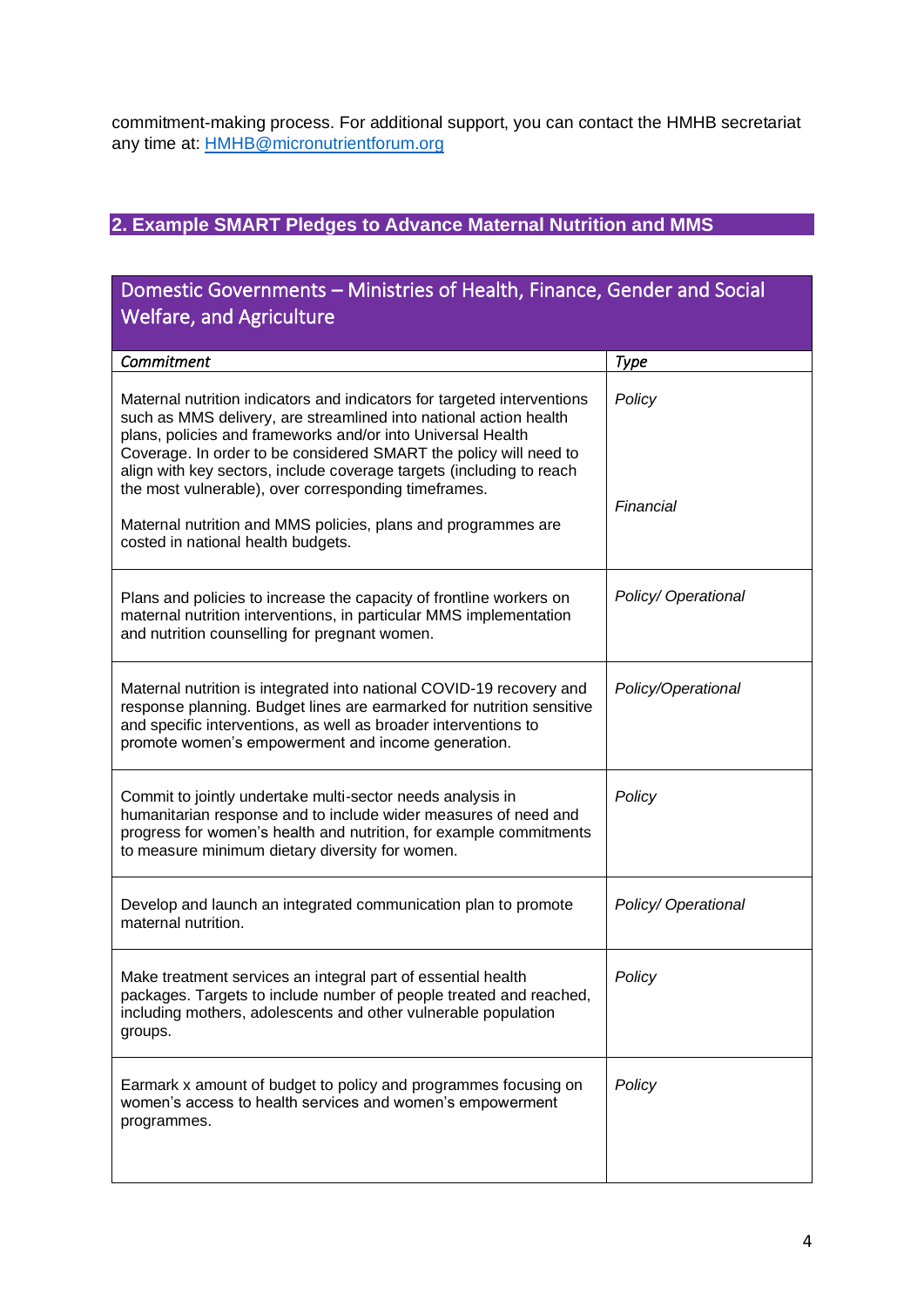commitment-making process. For additional support, you can contact the HMHB secretariat any time at: [HMHB@micronutrientforum.org](mailto:HMHB@micronutrientforum.org)

## **2. Example SMART Pledges to Advance Maternal Nutrition and MMS**

## Domestic Governments – Ministries of Health, Finance, Gender and Social Welfare, and Agriculture *Commitment Type*  Maternal nutrition indicators and indicators for targeted interventions such as MMS delivery, are streamlined into national action health plans, policies and frameworks and/or into Universal Health Coverage. In order to be considered SMART the policy will need to align with key sectors, include coverage targets (including to reach the most vulnerable), over corresponding timeframes. Maternal nutrition and MMS policies, plans and programmes are costed in national health budgets. *Policy Financial* Plans and policies to increase the capacity of frontline workers on maternal nutrition interventions, in particular MMS implementation and nutrition counselling for pregnant women. *Policy/ Operational* Maternal nutrition is integrated into national COVID-19 recovery and response planning. Budget lines are earmarked for nutrition sensitive and specific interventions, as well as broader interventions to promote women's empowerment and income generation. *Policy/Operational* Commit to jointly undertake multi-sector needs analysis in humanitarian response and to include wider measures of need and progress for women's health and nutrition, for example commitments to measure minimum dietary diversity for women. *Policy* Develop and launch an integrated communication plan to promote maternal nutrition. *Policy/ Operational*  Make treatment services an integral part of essential health packages. Targets to include number of people treated and reached, including mothers, adolescents and other vulnerable population groups. *Policy*  Earmark x amount of budget to policy and programmes focusing on women's access to health services and women's empowerment programmes. *Policy*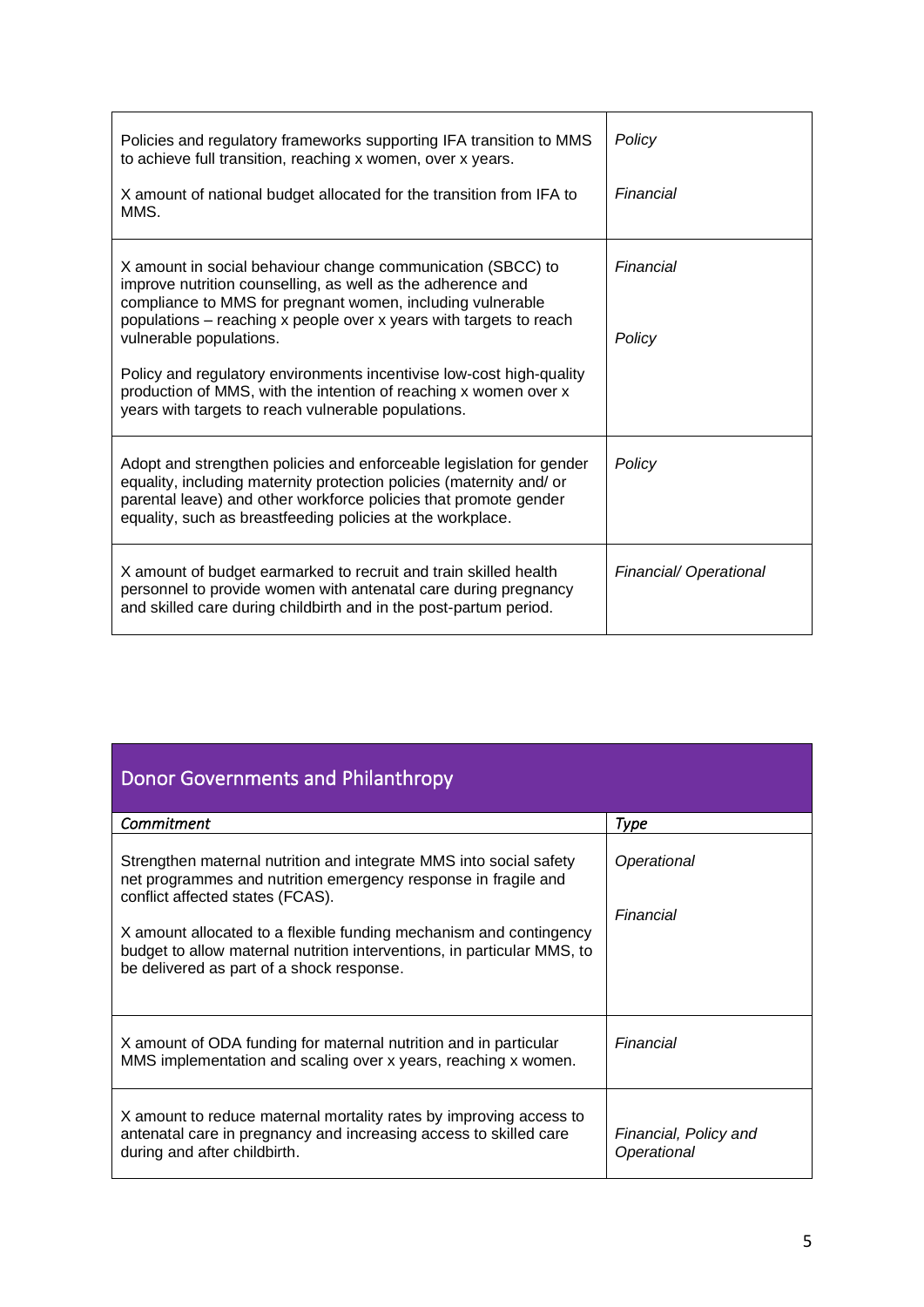| Policies and regulatory frameworks supporting IFA transition to MMS<br>to achieve full transition, reaching x women, over x years.                                                                                                                                             | Policy                |  |
|--------------------------------------------------------------------------------------------------------------------------------------------------------------------------------------------------------------------------------------------------------------------------------|-----------------------|--|
| X amount of national budget allocated for the transition from IFA to<br>MMS.                                                                                                                                                                                                   | Financial             |  |
| X amount in social behaviour change communication (SBCC) to<br>improve nutrition counselling, as well as the adherence and<br>compliance to MMS for pregnant women, including vulnerable<br>populations – reaching x people over x years with targets to reach                 | Financial             |  |
| vulnerable populations.                                                                                                                                                                                                                                                        | Policy                |  |
| Policy and regulatory environments incentivise low-cost high-quality<br>production of MMS, with the intention of reaching x women over x<br>years with targets to reach vulnerable populations.                                                                                |                       |  |
| Adopt and strengthen policies and enforceable legislation for gender<br>equality, including maternity protection policies (maternity and/ or<br>parental leave) and other workforce policies that promote gender<br>equality, such as breastfeeding policies at the workplace. | Policy                |  |
| X amount of budget earmarked to recruit and train skilled health<br>personnel to provide women with antenatal care during pregnancy<br>and skilled care during childbirth and in the post-partum period.                                                                       | Financial/Operational |  |

| <b>Donor Governments and Philanthropy</b>                                                                                                                                                                                                                                                                                                                              |                                      |  |  |
|------------------------------------------------------------------------------------------------------------------------------------------------------------------------------------------------------------------------------------------------------------------------------------------------------------------------------------------------------------------------|--------------------------------------|--|--|
| Commitment                                                                                                                                                                                                                                                                                                                                                             | Type                                 |  |  |
| Strengthen maternal nutrition and integrate MMS into social safety<br>net programmes and nutrition emergency response in fragile and<br>conflict affected states (FCAS).<br>X amount allocated to a flexible funding mechanism and contingency<br>budget to allow maternal nutrition interventions, in particular MMS, to<br>be delivered as part of a shock response. | Operational<br>Financial             |  |  |
| X amount of ODA funding for maternal nutrition and in particular<br>MMS implementation and scaling over x years, reaching x women.                                                                                                                                                                                                                                     | Financial                            |  |  |
| X amount to reduce maternal mortality rates by improving access to<br>antenatal care in pregnancy and increasing access to skilled care<br>during and after childbirth.                                                                                                                                                                                                | Financial, Policy and<br>Operational |  |  |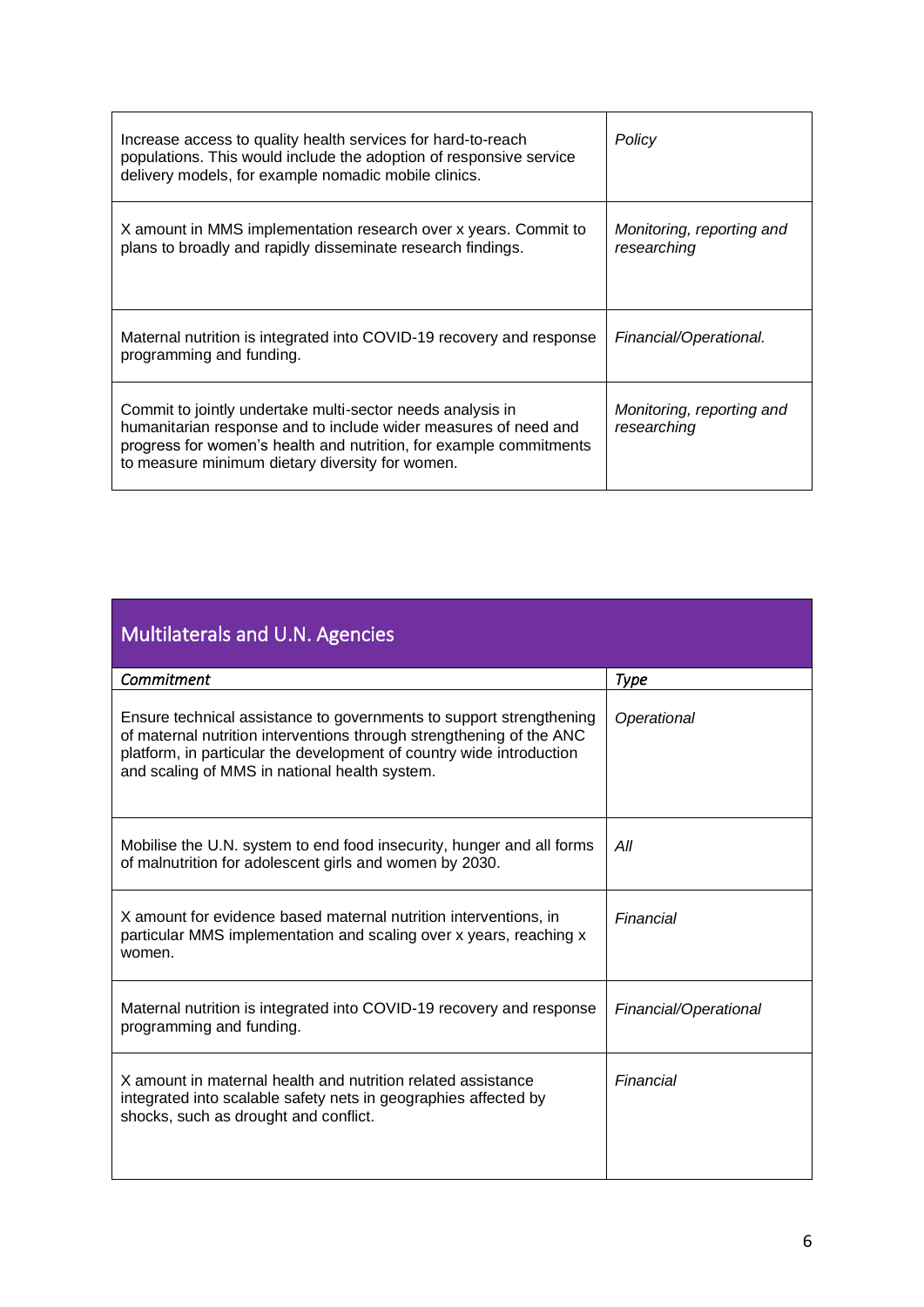| Increase access to quality health services for hard-to-reach<br>populations. This would include the adoption of responsive service<br>delivery models, for example nomadic mobile clinics.                                                             | Policy                                   |
|--------------------------------------------------------------------------------------------------------------------------------------------------------------------------------------------------------------------------------------------------------|------------------------------------------|
| X amount in MMS implementation research over x years. Commit to<br>plans to broadly and rapidly disseminate research findings.                                                                                                                         | Monitoring, reporting and<br>researching |
| Maternal nutrition is integrated into COVID-19 recovery and response<br>programming and funding.                                                                                                                                                       | Financial/Operational.                   |
| Commit to jointly undertake multi-sector needs analysis in<br>humanitarian response and to include wider measures of need and<br>progress for women's health and nutrition, for example commitments<br>to measure minimum dietary diversity for women. | Monitoring, reporting and<br>researching |

| Multilaterals and U.N. Agencies                                                                                                                                                                                                                                      |                       |  |
|----------------------------------------------------------------------------------------------------------------------------------------------------------------------------------------------------------------------------------------------------------------------|-----------------------|--|
| Commitment                                                                                                                                                                                                                                                           | <b>Type</b>           |  |
| Ensure technical assistance to governments to support strengthening<br>of maternal nutrition interventions through strengthening of the ANC<br>platform, in particular the development of country wide introduction<br>and scaling of MMS in national health system. | Operational           |  |
| Mobilise the U.N. system to end food insecurity, hunger and all forms<br>of malnutrition for adolescent girls and women by 2030.                                                                                                                                     | All                   |  |
| X amount for evidence based maternal nutrition interventions, in<br>particular MMS implementation and scaling over x years, reaching x<br>women.                                                                                                                     | Financial             |  |
| Maternal nutrition is integrated into COVID-19 recovery and response<br>programming and funding.                                                                                                                                                                     | Financial/Operational |  |
| X amount in maternal health and nutrition related assistance<br>integrated into scalable safety nets in geographies affected by<br>shocks, such as drought and conflict.                                                                                             | Financial             |  |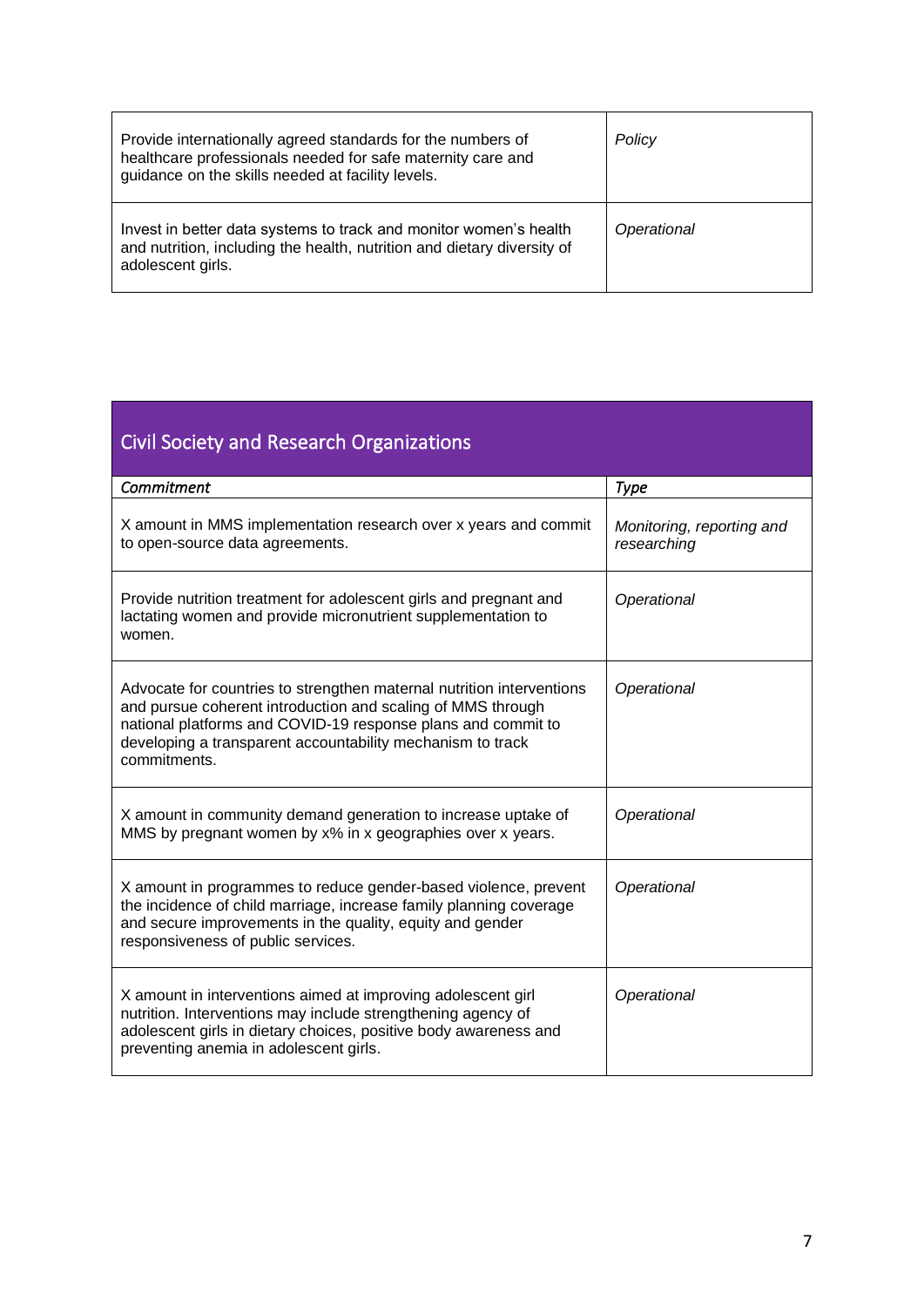| Provide internationally agreed standards for the numbers of<br>healthcare professionals needed for safe maternity care and<br>guidance on the skills needed at facility levels. | Policy      |
|---------------------------------------------------------------------------------------------------------------------------------------------------------------------------------|-------------|
| Invest in better data systems to track and monitor women's health<br>and nutrition, including the health, nutrition and dietary diversity of<br>adolescent girls.               | Operational |

| <b>Civil Society and Research Organizations</b>                                                                                                                                                                                                                                    |                                          |  |
|------------------------------------------------------------------------------------------------------------------------------------------------------------------------------------------------------------------------------------------------------------------------------------|------------------------------------------|--|
| Commitment                                                                                                                                                                                                                                                                         | <b>Type</b>                              |  |
| X amount in MMS implementation research over x years and commit<br>to open-source data agreements.                                                                                                                                                                                 | Monitoring, reporting and<br>researching |  |
| Provide nutrition treatment for adolescent girls and pregnant and<br>lactating women and provide micronutrient supplementation to<br>women.                                                                                                                                        | Operational                              |  |
| Advocate for countries to strengthen maternal nutrition interventions<br>and pursue coherent introduction and scaling of MMS through<br>national platforms and COVID-19 response plans and commit to<br>developing a transparent accountability mechanism to track<br>commitments. | Operational                              |  |
| X amount in community demand generation to increase uptake of<br>MMS by pregnant women by x% in x geographies over x years.                                                                                                                                                        | Operational                              |  |
| X amount in programmes to reduce gender-based violence, prevent<br>the incidence of child marriage, increase family planning coverage<br>and secure improvements in the quality, equity and gender<br>responsiveness of public services.                                           | Operational                              |  |
| X amount in interventions aimed at improving adolescent girl<br>nutrition. Interventions may include strengthening agency of<br>adolescent girls in dietary choices, positive body awareness and<br>preventing anemia in adolescent girls.                                         | Operational                              |  |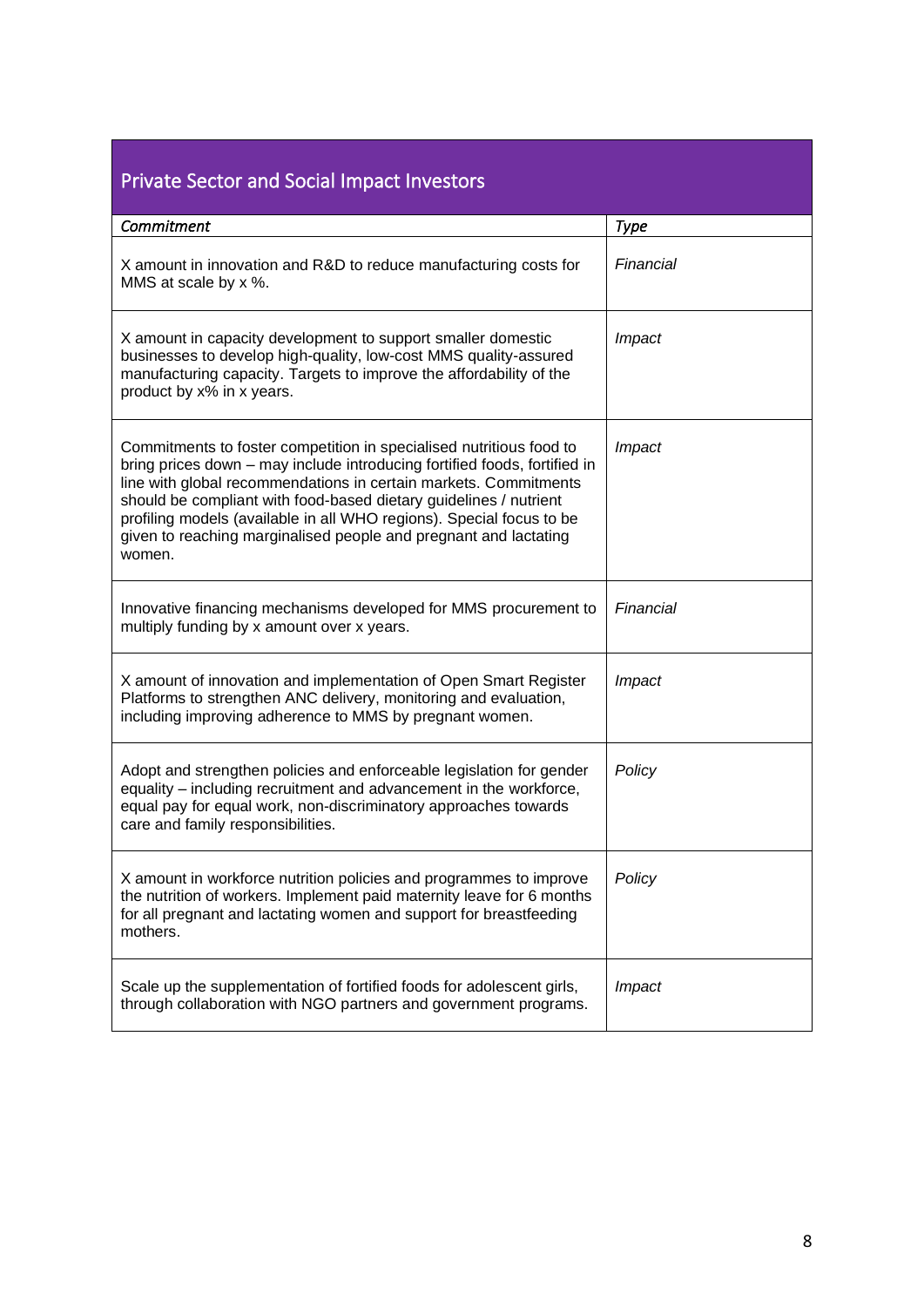| <b>Private Sector and Social Impact Investors</b>                                                                                                                                                                                                                                                                                                                                                                                               |             |  |
|-------------------------------------------------------------------------------------------------------------------------------------------------------------------------------------------------------------------------------------------------------------------------------------------------------------------------------------------------------------------------------------------------------------------------------------------------|-------------|--|
| Commitment                                                                                                                                                                                                                                                                                                                                                                                                                                      | <b>Type</b> |  |
| X amount in innovation and R&D to reduce manufacturing costs for<br>MMS at scale by x %.                                                                                                                                                                                                                                                                                                                                                        | Financial   |  |
| X amount in capacity development to support smaller domestic<br>businesses to develop high-quality, low-cost MMS quality-assured<br>manufacturing capacity. Targets to improve the affordability of the<br>product by x% in x years.                                                                                                                                                                                                            | Impact      |  |
| Commitments to foster competition in specialised nutritious food to<br>bring prices down - may include introducing fortified foods, fortified in<br>line with global recommendations in certain markets. Commitments<br>should be compliant with food-based dietary guidelines / nutrient<br>profiling models (available in all WHO regions). Special focus to be<br>given to reaching marginalised people and pregnant and lactating<br>women. | Impact      |  |
| Innovative financing mechanisms developed for MMS procurement to<br>multiply funding by x amount over x years.                                                                                                                                                                                                                                                                                                                                  | Financial   |  |
| X amount of innovation and implementation of Open Smart Register<br>Platforms to strengthen ANC delivery, monitoring and evaluation,<br>including improving adherence to MMS by pregnant women.                                                                                                                                                                                                                                                 | Impact      |  |
| Adopt and strengthen policies and enforceable legislation for gender<br>equality - including recruitment and advancement in the workforce,<br>equal pay for equal work, non-discriminatory approaches towards<br>care and family responsibilities.                                                                                                                                                                                              | Policy      |  |
| X amount in workforce nutrition policies and programmes to improve<br>the nutrition of workers. Implement paid maternity leave for 6 months<br>for all pregnant and lactating women and support for breastfeeding<br>mothers.                                                                                                                                                                                                                   | Policy      |  |
| Scale up the supplementation of fortified foods for adolescent girls,<br>through collaboration with NGO partners and government programs.                                                                                                                                                                                                                                                                                                       | Impact      |  |

ī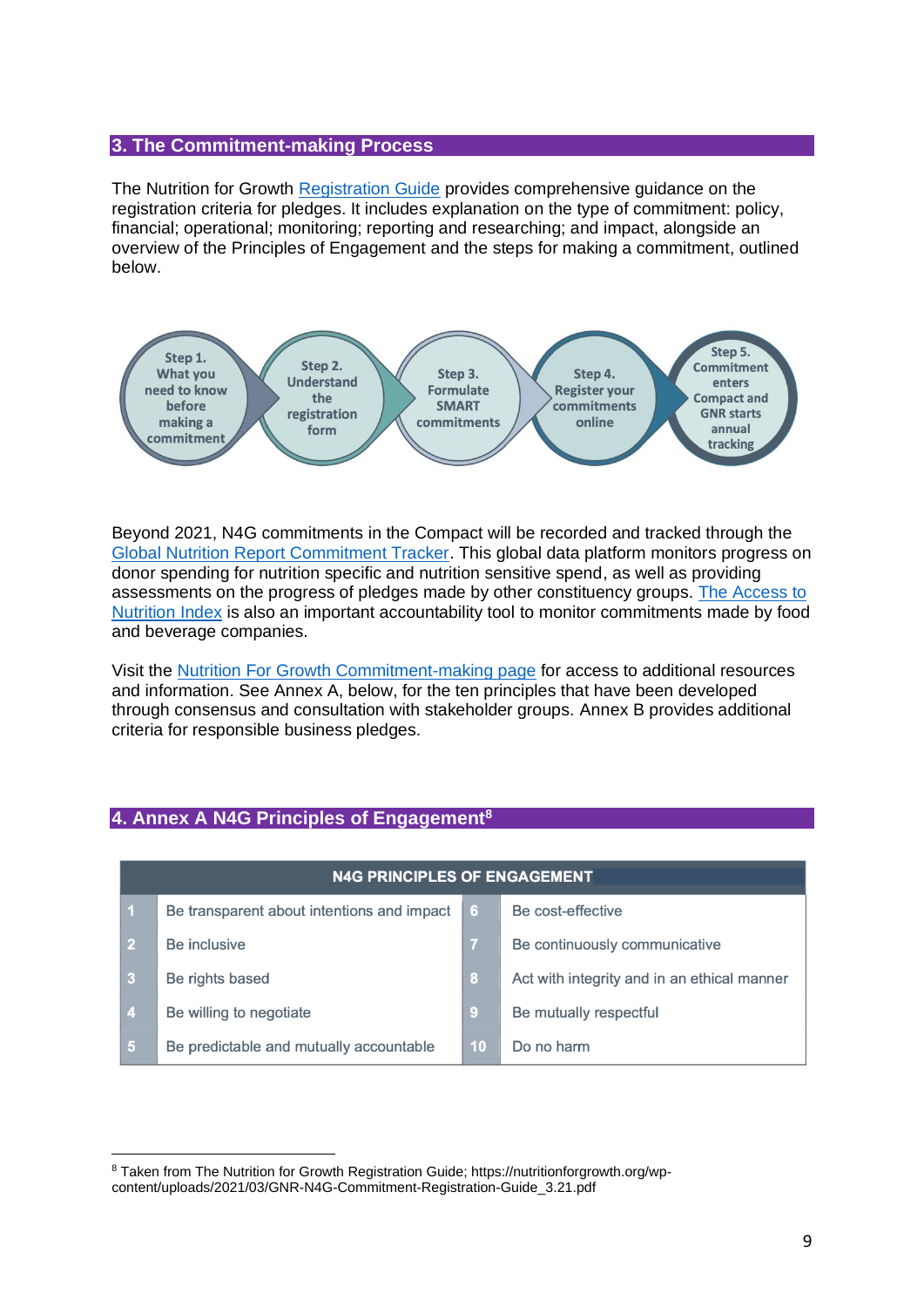#### **3. The Commitment-making Process**

The Nutrition for Growth [Registration Guide](https://nutritionforgrowth.org/wp-content/uploads/2021/03/GNR-N4G-Commitment-Registration-Guide_3.21.pdf) provides comprehensive guidance on the registration criteria for pledges. It includes explanation on the type of commitment: policy, financial; operational; monitoring; reporting and researching; and impact, alongside an overview of the Principles of Engagement and the steps for making a commitment, outlined below.



Beyond 2021, N4G commitments in the Compact will be recorded and tracked through the [Global Nutrition Report Commitment Tracker.](https://globalnutritionreport.org/resources/nutrition-growth-commitment-tracking/) This global data platform monitors progress on donor spending for nutrition specific and nutrition sensitive spend, as well as providing assessments on the progress of pledges made by other constituency groups. [The Access to](https://accesstonutrition.org/)  [Nutrition](https://accesstonutrition.org/) Index is also an important accountability tool to monitor commitments made by food and beverage companies.

Visit the [Nutrition For Growth Commitment-making page](https://nutritionforgrowth.org/make-a-commitment/) for access to additional resources and information. See Annex A, below, for the ten principles that have been developed through consensus and consultation with stakeholder groups. Annex B provides additional criteria for responsible business pledges.

## **4. Annex A N4G Principles of Engagement<sup>8</sup>**

| <b>N4G PRINCIPLES OF ENGAGEMENT</b> |                                            |    |                                             |
|-------------------------------------|--------------------------------------------|----|---------------------------------------------|
| - 1                                 | Be transparent about intentions and impact | 6  | Be cost-effective                           |
| $\sqrt{2}$                          | Be inclusive                               | -7 | Be continuously communicative               |
| $\overline{\mathbf{3}}$             | Be rights based                            | 18 | Act with integrity and in an ethical manner |
| $\sqrt{4}$                          | Be willing to negotiate                    | -9 | Be mutually respectful                      |
| 5                                   | Be predictable and mutually accountable    | 10 | Do no harm                                  |

<sup>8</sup> Taken from The Nutrition for Growth Registration Guide; https://nutritionforgrowth.org/wpcontent/uploads/2021/03/GNR-N4G-Commitment-Registration-Guide\_3.21.pdf